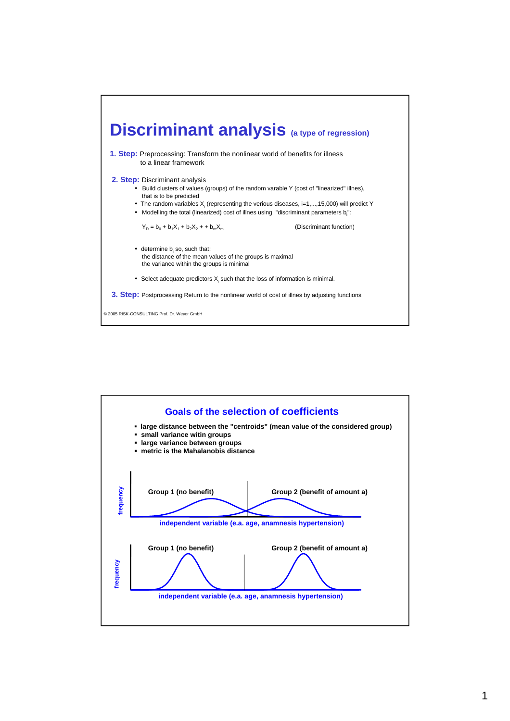

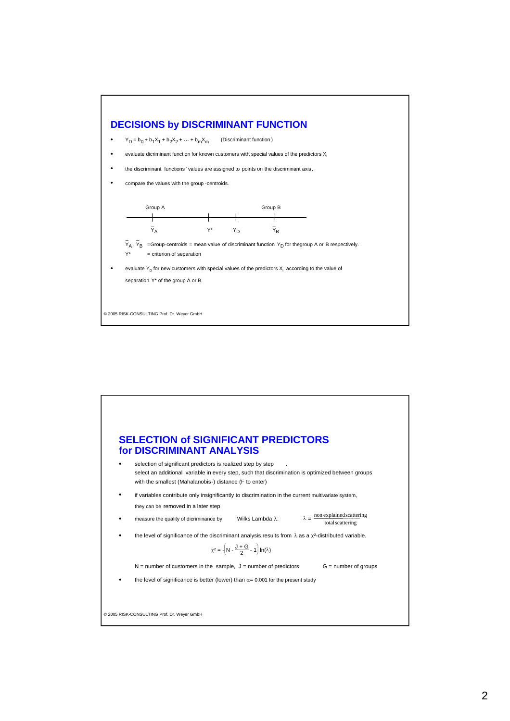

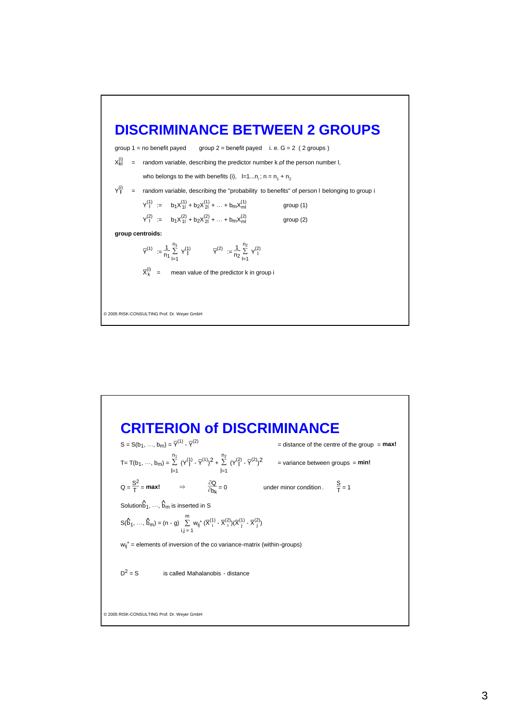## **DISCRIMINANCE BETWEEN 2 GROUPS**

group 1 = no benefit payed group 2 = benefit payed i. e.  $G = 2$  (2 groups)

 $X_{kl}^{(i)}$  = random variable, describing the predictor number k of the person number l,

who belongs to the with benefits (i),  $l=1...n_i$ ;  $n = n_1 + n_2$ 

Y **l** = random variable, describing the "probability to benefits" of person I belonging to group i

$$
Y_1^{(1)} := b_1 X_{11}^{(1)} + b_2 X_{21}^{(1)} + \dots + b_m X_{m1}^{(1)}
$$
 group (1)  

$$
Y_1^{(2)} := b_1 X_{11}^{(2)} + b_2 X_{21}^{(2)} + \dots + b_m X_{m1}^{(2)}
$$
 group (2)

**group centroids:**

$$
\overline{Y}^{(1)}~:= \frac{1}{n_1} \sum_{l=1}^{n_1} \ Y^{(1)}_l \qquad \qquad \overline{Y}^{(2)}~:= \frac{1}{n_2} \sum_{l=1}^{n_2} \ Y^{(2)}_l
$$

$$
\overline{X}_{k}^{(i)} = \text{mean value of the predictor k in group i}
$$

© 2005 RISK-CONSULTING Prof. Dr. Weyer GmbH

## © 2005 RISK-CONSULTING Prof. Dr. Weyer GmbH **CRITERION of DISCRIMINANCE**  $S = S(b_1, ..., b_m) = \overline{Y}^{(1)} - \overline{Y}^{(2)}$ \_(2) = distance of the centre of the group = **max!** T= T(b<sub>1</sub>, …, b<sub>m</sub>) =  $\Sigma$ l=1 n<sub>1</sub>  $(Y^{(1)}_1 \cdot \overline{Y}^{(1)})^2 + \sum_{r=1}^{n_2}$ l=1  $n<sub>2</sub>$  $(Y^{(2)}_1 \cdot \overline{Y}^{(2)})^2$  = variance between groups = **min!**  $Q = \frac{S^2}{T} = \text{max!}$   $\Rightarrow$   $\frac{\partial Q}{\partial b_k} = 0$  under minor condition .  $\frac{S}{T} = 1$ Solution $\hat{b}_1, ..., \hat{b}_m$  is inserted in S  $S(\hat{b}_1, ..., \hat{b}_m) = (n - g) \sum_{i,j=1}^{m}$ m<br>∑ w<sub>ij</sub>\* (X  $\sum_{i=1}^{(1)}$  $\binom{2}{i}$  $(\overline{X})$  $\frac{(1)}{j} - \bar{X}$  $\binom{2}{j}$  $w_{ii}^*$  = elements of inversion of the co variance-matrix (within-groups)  $D^2 = S$  is called Mahalanobis - distance